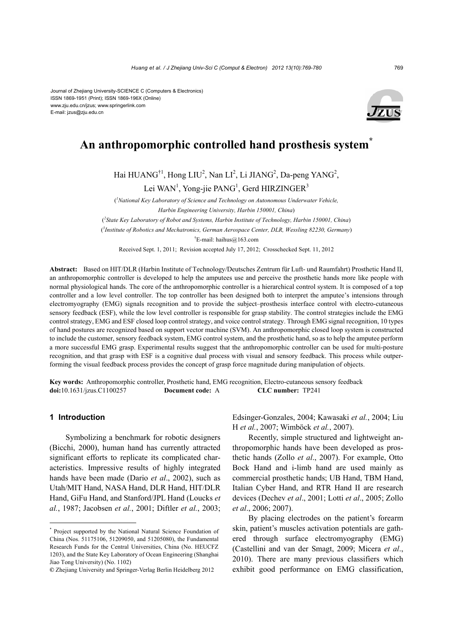

# **An anthropomorphic controlled hand prosthesis system\***

Hai HUANG<sup>†1</sup>, Hong LIU<sup>2</sup>, Nan LI<sup>2</sup>, Li JIANG<sup>2</sup>, Da-peng YANG<sup>2</sup>,

Lei WAN<sup>1</sup>, Yong-jie PANG<sup>1</sup>, Gerd HIRZINGER<sup>3</sup>

( *1 National Key Laboratory of Science and Technology on Autonomous Underwater Vehicle, Harbin Engineering University, Harbin 150001, China*)

( *2 State Key Laboratory of Robot and Systems, Harbin Institute of Technology, Harbin 150001, China*)

( *3 Institute of Robotics and Mechatronics, German Aerospace Center, DLR, Wessling 82230, Germany*)

† E-mail: haihus@163.com

Received Sept. 1, 2011; Revision accepted July 17, 2012; Crosschecked Sept. 11, 2012

**Abstract:** Based on HIT/DLR (Harbin Institute of Technology/Deutsches Zentrum für Luft- und Raumfahrt) Prosthetic Hand II, an anthropomorphic controller is developed to help the amputees use and perceive the prosthetic hands more like people with normal physiological hands. The core of the anthropomorphic controller is a hierarchical control system. It is composed of a top controller and a low level controller. The top controller has been designed both to interpret the amputee's intensions through electromyography (EMG) signals recognition and to provide the subject–prosthesis interface control with electro-cutaneous sensory feedback (ESF), while the low level controller is responsible for grasp stability. The control strategies include the EMG control strategy, EMG and ESF closed loop control strategy, and voice control strategy. Through EMG signal recognition, 10 types of hand postures are recognized based on support vector machine (SVM). An anthropomorphic closed loop system is constructed to include the customer, sensory feedback system, EMG control system, and the prosthetic hand, so as to help the amputee perform a more successful EMG grasp. Experimental results suggest that the anthropomorphic controller can be used for multi-posture recognition, and that grasp with ESF is a cognitive dual process with visual and sensory feedback. This process while outperforming the visual feedback process provides the concept of grasp force magnitude during manipulation of objects.

**Key words:** Anthropomorphic controller, Prosthetic hand, EMG recognition, Electro-cutaneous sensory feedback **doi:**10.1631/jzus.C1100257 **Document code:** A **CLC number:** TP241

#### **1 Introduction**

E-mail: jzus@zju.edu.cn

Symbolizing a benchmark for robotic designers (Bicchi, 2000), human hand has currently attracted significant efforts to replicate its complicated characteristics. Impressive results of highly integrated hands have been made (Dario *et al*., 2002), such as Utah/MIT Hand, NASA Hand, DLR Hand, HIT/DLR Hand, GiFu Hand, and Stanford/JPL Hand (Loucks *et al.*, 1987; Jacobsen *et al.*, 2001; Diftler *et al.*, 2003;

Edsinger-Gonzales, 2004; Kawasaki *et al.*, 2004; Liu H *et al.*, 2007; Wimböck *et al.*, 2007).

Recently, simple structured and lightweight anthropomorphic hands have been developed as prosthetic hands (Zollo *et al*., 2007). For example, Otto Bock Hand and i-limb hand are used mainly as commercial prosthetic hands; UB Hand, TBM Hand, Italian Cyber Hand, and RTR Hand II are research devices (Dechev *et al*., 2001; Lotti *et al*., 2005; Zollo *et al*., 2006; 2007).

By placing electrodes on the patient's forearm skin, patient's muscles activation potentials are gathered through surface electromyography (EMG) (Castellini and van der Smagt, 2009; Micera *et al*., 2010). There are many previous classifiers which exhibit good performance on EMG classification,

<sup>\*</sup> Project supported by the National Natural Science Foundation of China (Nos. 51175106, 51209050, and 51205080), the Fundamental Research Funds for the Central Universities, China (No. HEUCFZ 1203), and the State Key Laboratory of Ocean Engineering (Shanghai Jiao Tong University) (No. 1102)

**<sup>©</sup>** Zhejiang University and Springer-Verlag Berlin Heidelberg 2012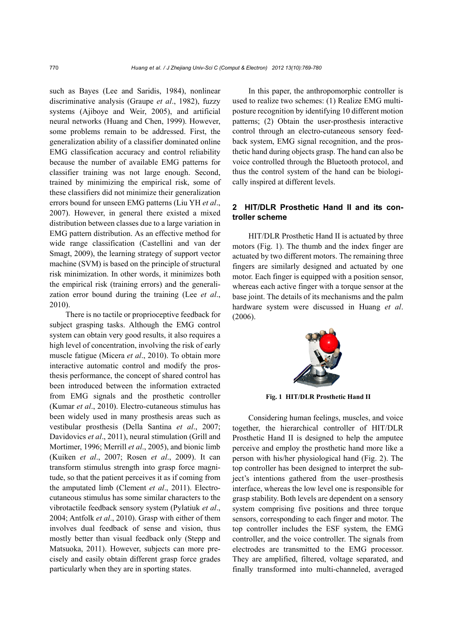such as Bayes (Lee and Saridis, 1984), nonlinear discriminative analysis (Graupe *et al*., 1982), fuzzy systems (Ajiboye and Weir, 2005), and artificial neural networks (Huang and Chen, 1999). However, some problems remain to be addressed. First, the generalization ability of a classifier dominated online EMG classification accuracy and control reliability because the number of available EMG patterns for classifier training was not large enough. Second, trained by minimizing the empirical risk, some of these classifiers did not minimize their generalization errors bound for unseen EMG patterns (Liu YH *et al*., 2007). However, in general there existed a mixed distribution between classes due to a large variation in EMG pattern distribution. As an effective method for wide range classification (Castellini and van der Smagt, 2009), the learning strategy of support vector machine (SVM) is based on the principle of structural risk minimization. In other words, it minimizes both the empirical risk (training errors) and the generalization error bound during the training (Lee *et al*., 2010).

There is no tactile or proprioceptive feedback for subject grasping tasks. Although the EMG control system can obtain very good results, it also requires a high level of concentration, involving the risk of early muscle fatigue (Micera *et al*., 2010). To obtain more interactive automatic control and modify the prosthesis performance, the concept of shared control has been introduced between the information extracted from EMG signals and the prosthetic controller (Kumar *et al*., 2010). Electro-cutaneous stimulus has been widely used in many prosthesis areas such as vestibular prosthesis (Della Santina *et al*., 2007; Davidovics *et al*., 2011), neural stimulation (Grill and Mortimer, 1996; Merrill *et al*., 2005), and bionic limb (Kuiken *et al*., 2007; Rosen *et al*., 2009). It can transform stimulus strength into grasp force magnitude, so that the patient perceives it as if coming from the amputated limb (Clement *et al*., 2011). Electrocutaneous stimulus has some similar characters to the vibrotactile feedback sensory system (Pylatiuk *et al*., 2004; Antfolk *et al*., 2010). Grasp with either of them involves dual feedback of sense and vision, thus mostly better than visual feedback only (Stepp and Matsuoka, 2011). However, subjects can more precisely and easily obtain different grasp force grades particularly when they are in sporting states.

In this paper, the anthropomorphic controller is used to realize two schemes: (1) Realize EMG multiposture recognition by identifying 10 different motion patterns; (2) Obtain the user-prosthesis interactive control through an electro-cutaneous sensory feedback system, EMG signal recognition, and the prosthetic hand during objects grasp. The hand can also be voice controlled through the Bluetooth protocol, and thus the control system of the hand can be biologically inspired at different levels.

## **2 HIT/DLR Prosthetic Hand II and its controller scheme**

HIT/DLR Prosthetic Hand II is actuated by three motors (Fig. 1). The thumb and the index finger are actuated by two different motors. The remaining three fingers are similarly designed and actuated by one motor. Each finger is equipped with a position sensor, whereas each active finger with a torque sensor at the base joint. The details of its mechanisms and the palm hardware system were discussed in Huang *et al*. (2006).



**Fig. 1 HIT/DLR Prosthetic Hand II** 

Considering human feelings, muscles, and voice together, the hierarchical controller of HIT/DLR Prosthetic Hand II is designed to help the amputee perceive and employ the prosthetic hand more like a person with his/her physiological hand (Fig. 2). The top controller has been designed to interpret the subject's intentions gathered from the user–prosthesis interface, whereas the low level one is responsible for grasp stability. Both levels are dependent on a sensory system comprising five positions and three torque sensors, corresponding to each finger and motor. The top controller includes the ESF system, the EMG controller, and the voice controller. The signals from electrodes are transmitted to the EMG processor. They are amplified, filtered, voltage separated, and finally transformed into multi-channeled, averaged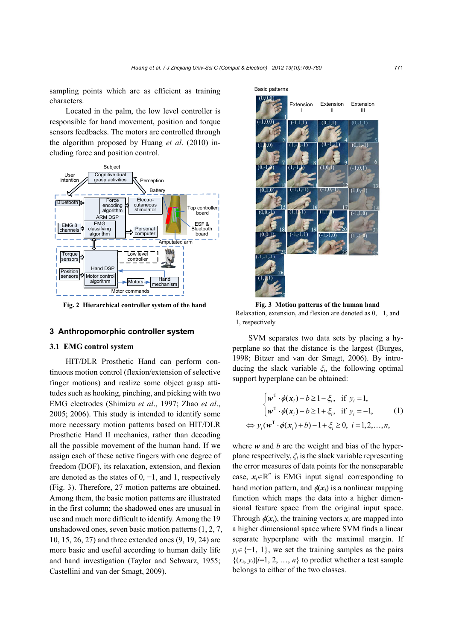sampling points which are as efficient as training characters.

Located in the palm, the low level controller is responsible for hand movement, position and torque sensors feedbacks. The motors are controlled through the algorithm proposed by Huang *et al*. (2010) including force and position control.



**Fig. 2 Hierarchical controller system of the hand** 

### **3 Anthropomorphic controller system**

## **3.1 EMG control system**

HIT/DLR Prosthetic Hand can perform continuous motion control (flexion/extension of selective finger motions) and realize some object grasp attitudes such as hooking, pinching, and picking with two EMG electrodes (Shimizu *et al*., 1997; Zhao *et al*., 2005; 2006). This study is intended to identify some more necessary motion patterns based on HIT/DLR Prosthetic Hand II mechanics, rather than decoding all the possible movement of the human hand. If we assign each of these active fingers with one degree of freedom (DOF), its relaxation, extension, and flexion are denoted as the states of  $0, -1$ , and 1, respectively (Fig. 3). Therefore, 27 motion patterns are obtained. Among them, the basic motion patterns are illustrated in the first column; the shadowed ones are unusual in use and much more difficult to identify. Among the 19 unshadowed ones, seven basic motion patterns (1, 2, 7, 10, 15, 26, 27) and three extended ones (9, 19, 24) are more basic and useful according to human daily life and hand investigation (Taylor and Schwarz, 1955; Castellini and van der Smagt, 2009).



**Fig. 3 Motion patterns of the human hand**  Relaxation, extension, and flexion are denoted as 0, −1, and 1, respectively

SVM separates two data sets by placing a hyperplane so that the distance is the largest (Burges, 1998; Bitzer and van der Smagt, 2006). By introducing the slack variable *ξi*, the following optimal support hyperplane can be obtained:

$$
\begin{cases}\n\mathbf{w}^{\mathrm{T}} \cdot \phi(\mathbf{x}_i) + b \ge 1 - \xi_i, & \text{if } y_i = 1, \\
\mathbf{w}^{\mathrm{T}} \cdot \phi(\mathbf{x}_i) + b \ge 1 + \xi_i, & \text{if } y_i = -1, \\
\Leftrightarrow y_i(\mathbf{w}^{\mathrm{T}} \cdot \phi(\mathbf{x}_i) + b) - 1 + \xi_i \ge 0, & i = 1, 2, \dots, n,\n\end{cases} \tag{1}
$$

where  $w$  and  $b$  are the weight and bias of the hyperplane respectively, *ξi* is the slack variable representing the error measures of data points for the nonseparable case,  $x_i \in \mathbb{R}^n$  is EMG input signal corresponding to hand motion pattern, and  $\phi(x_i)$  is a nonlinear mapping function which maps the data into a higher dimensional feature space from the original input space. Through  $\phi(x_i)$ , the training vectors  $x_i$  are mapped into a higher dimensional space where SVM finds a linear separate hyperplane with the maximal margin. If  $y_i \in \{-1, 1\}$ , we set the training samples as the pairs  $\{(x_i, y_i)|i=1, 2, ..., n\}$  to predict whether a test sample belongs to either of the two classes.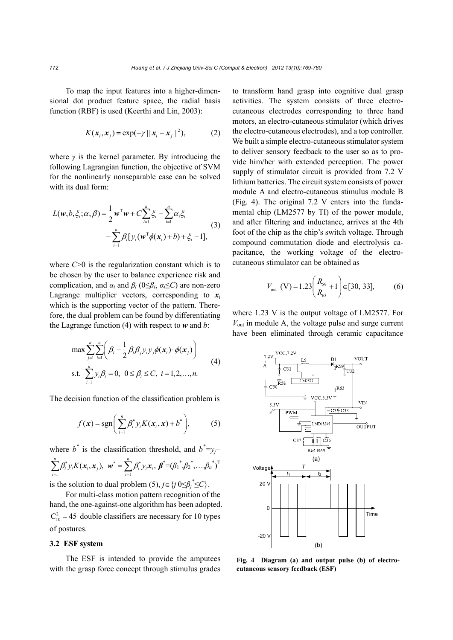To map the input features into a higher-dimensional dot product feature space, the radial basis function (RBF) is used (Keerthi and Lin, 2003):

$$
K(\mathbf{x}_i, \mathbf{x}_j) = \exp(-\gamma ||\mathbf{x}_i - \mathbf{x}_j||^2),
$$
 (2)

where  $\gamma$  is the kernel parameter. By introducing the following Lagrangian function, the objective of SVM for the nonlinearly nonseparable case can be solved with its dual form:

$$
L(w, b, \xi_i; \alpha, \beta) = \frac{1}{2} w^{\mathrm{T}} w + C \sum_{i=1}^{n} \xi_i - \sum_{i=1}^{n} \alpha_i \xi_i
$$
  
- 
$$
\sum_{i=1}^{n} \beta_i [y_i (w^{\mathrm{T}} \phi(x_i) + b) + \xi_i - 1],
$$
 (3)

where *C*>0 is the regularization constant which is to be chosen by the user to balance experience risk and complication, and  $\alpha_i$  and  $\beta_i$  (0≤ $\beta_i$ ,  $\alpha_i$ ≤C) are non-zero Lagrange multiplier vectors, corresponding to  $x_i$ which is the supporting vector of the pattern. Therefore, the dual problem can be found by differentiating the Lagrange function (4) with respect to  $w$  and  $b$ :

$$
\max \sum_{j=1}^{n} \sum_{i=1}^{n} \left( \beta_i - \frac{1}{2} \beta_i \beta_j y_i y_j \phi(x_i) \cdot \phi(x_j) \right)
$$
  
s.t. 
$$
\sum_{i=1}^{n} y_i \beta_i = 0, \ 0 \le \beta_i \le C, \ i = 1, 2, ..., n.
$$
 (4)

The decision function of the classification problem is

$$
f(\mathbf{x}) = \text{sgn}\bigg(\sum_{i=1}^{n} \beta_i^* y_i K(\mathbf{x}_i, \mathbf{x}) + b^*\bigg), \qquad (5)
$$

where *b*<sup>\*</sup> is the classification threshold, and  $b^* = y_j$ \*  $\sum_{i=1}^n \beta_i^* y_i K(\mathbf{x}_i, \mathbf{x}_i),$  $\sum_{i=1} P_i y_i \mathbf{K}(\mathbf{x}_i, \mathbf{x}_j)$  $\beta_i^* y_i K$  $\sum_{i=1} \beta_i^* y_i K(x_i, x_j), \ \ \mathbf{w}^* = \sum_{i=1} \beta_i^*$  $\sum_{i=1}^{n} \beta_i^* y_i x_i$  $\sum_{i=1} P_i Y_i \mathbf{x}_i$  $\beta_i^*y$  $w^* = \sum_{i=1}^n \beta_i^* y_i x_i, \ \pmb{\beta}^* = (\beta_1^*, \beta_2^*, \ldots, \beta_n^*)^T$ 

is the solution to dual problem (5),  $j \in \{j|0 \leq \beta_j^* \leq C\}$ .

For multi-class motion pattern recognition of the hand, the one-against-one algorithm has been adopted.  $C_{10}^2$  = 45 double classifiers are necessary for 10 types of postures.

## **3.2 ESF system**

1

The ESF is intended to provide the amputees with the grasp force concept through stimulus grades to transform hand grasp into cognitive dual grasp activities. The system consists of three electrocutaneous electrodes corresponding to three hand motors, an electro-cutaneous stimulator (which drives the electro-cutaneous electrodes), and a top controller. We built a simple electro-cutaneous stimulator system to deliver sensory feedback to the user so as to provide him/her with extended perception. The power supply of stimulator circuit is provided from 7.2 V lithium batteries. The circuit system consists of power module A and electro-cutaneous stimulus module B (Fig. 4). The original 7.2 V enters into the fundamental chip (LM2577 by TI) of the power module, and after filtering and inductance, arrives at the 4th foot of the chip as the chip's switch voltage. Through compound commutation diode and electrolysis capacitance, the working voltage of the electrocutaneous stimulator can be obtained as

$$
V_{\text{out}} \text{ (V)} = 1.23 \left( \frac{R_{\text{59}}}{R_{\text{63}}} + 1 \right) \in [30, 33], \quad (6)
$$

where 1.23 V is the output voltage of LM2577. For *V*out in module A, the voltage pulse and surge current have been eliminated through ceramic capacitance



**Fig. 4 Diagram (a) and output pulse (b) of electrocutaneous sensory feedback (ESF)**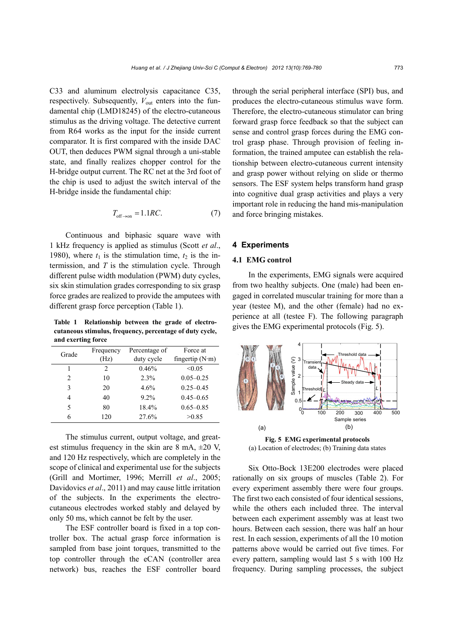C33 and aluminum electrolysis capacitance C35, respectively. Subsequently,  $V_{\text{out}}$  enters into the fundamental chip (LMD18245) of the electro-cutaneous stimulus as the driving voltage. The detective current from R64 works as the input for the inside current comparator. It is first compared with the inside DAC OUT, then deduces PWM signal through a uni-stable state, and finally realizes chopper control for the H-bridge output current. The RC net at the 3rd foot of the chip is used to adjust the switch interval of the H-bridge inside the fundamental chip:

$$
T_{\text{off}\to\text{on}} = 1.1RC. \tag{7}
$$

Continuous and biphasic square wave with 1 kHz frequency is applied as stimulus (Scott *et al*., 1980), where  $t_1$  is the stimulation time,  $t_2$  is the intermission, and *T* is the stimulation cycle. Through different pulse width modulation (PWM) duty cycles, six skin stimulation grades corresponding to six grasp force grades are realized to provide the amputees with different grasp force perception (Table 1).

**Table 1 Relationship between the grade of electrocutaneous stimulus, frequency, percentage of duty cycle, and exerting force** 

| Grade | Frequency<br>(Hz) | Percentage of<br>duty cycle | Force at<br>fingertip $(N \cdot m)$ |
|-------|-------------------|-----------------------------|-------------------------------------|
|       | $\mathfrak{D}$    | 0.46%                       | < 0.05                              |
| 2     | 10                | 2.3%                        | $0.05 - 0.25$                       |
| 3     | 20                | 4.6%                        | $0.25 - 0.45$                       |
| 4     | 40                | $9.2\%$                     | $0.45 - 0.65$                       |
| 5     | 80                | 18.4%                       | $0.65 - 0.85$                       |
| 6     | 120               | 27.6%                       | >0.85                               |

The stimulus current, output voltage, and greatest stimulus frequency in the skin are  $8 \text{ mA}$ ,  $\pm 20 \text{ V}$ , and 120 Hz respectively, which are completely in the scope of clinical and experimental use for the subjects (Grill and Mortimer, 1996; Merrill *et al*., 2005; Davidovics *et al*., 2011) and may cause little irritation of the subjects. In the experiments the electrocutaneous electrodes worked stably and delayed by only 50 ms, which cannot be felt by the user.

The ESF controller board is fixed in a top controller box. The actual grasp force information is sampled from base joint torques, transmitted to the top controller through the eCAN (controller area network) bus, reaches the ESF controller board

through the serial peripheral interface (SPI) bus, and produces the electro-cutaneous stimulus wave form. Therefore, the electro-cutaneous stimulator can bring forward grasp force feedback so that the subject can sense and control grasp forces during the EMG control grasp phase. Through provision of feeling information, the trained amputee can establish the relationship between electro-cutaneous current intensity and grasp power without relying on slide or thermo sensors. The ESF system helps transform hand grasp into cognitive dual grasp activities and plays a very important role in reducing the hand mis-manipulation and force bringing mistakes.

## **4 Experiments**

#### **4.1 EMG control**

In the experiments, EMG signals were acquired from two healthy subjects. One (male) had been engaged in correlated muscular training for more than a year (testee M), and the other (female) had no experience at all (testee F). The following paragraph gives the EMG experimental protocols (Fig. 5).



(a) Location of electrodes; (b) Training data states

Six Otto-Bock 13E200 electrodes were placed rationally on six groups of muscles (Table 2). For every experiment assembly there were four groups. The first two each consisted of four identical sessions, while the others each included three. The interval between each experiment assembly was at least two hours. Between each session, there was half an hour rest. In each session, experiments of all the 10 motion patterns above would be carried out five times. For every pattern, sampling would last 5 s with 100 Hz frequency. During sampling processes, the subject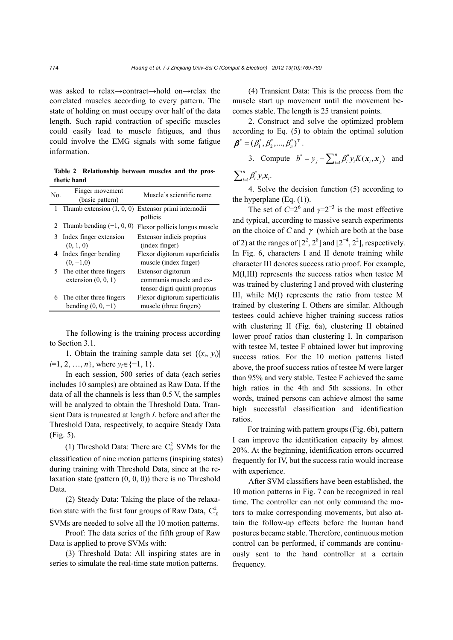was asked to relax→contract→hold on→relax the correlated muscles according to every pattern. The state of holding on must occupy over half of the data length. Such rapid contraction of specific muscles could easily lead to muscle fatigues, and thus could involve the EMG signals with some fatigue information.

**Table 2 Relationship between muscles and the prosthetic hand** 

| No. | Finger movement<br>(basic pattern) | Muscle's scientific name       |  |  |  |
|-----|------------------------------------|--------------------------------|--|--|--|
| 1   | Thumb extension $(1, 0, 0)$        | Extensor primi internodii      |  |  |  |
|     |                                    | pollicis                       |  |  |  |
|     | 2 Thumb bending $(-1, 0, 0)$       | Flexor pollicis longus muscle  |  |  |  |
| 3.  | Index finger extension             | Extensor indicis proprius      |  |  |  |
|     | (0, 1, 0)                          | (index finger)                 |  |  |  |
| 4   | Index finger bending               | Flexor digitorum superficialis |  |  |  |
|     | $(0, -1, 0)$                       | muscle (index finger)          |  |  |  |
|     | 5 The other three fingers          | Extensor digitorum             |  |  |  |
|     | extension $(0, 0, 1)$              | communis muscle and ex-        |  |  |  |
|     |                                    | tensor digiti quinti proprius  |  |  |  |
|     | 6 The other three fingers          | Flexor digitorum superficialis |  |  |  |
|     | bending $(0, 0, -1)$               | muscle (three fingers)         |  |  |  |

The following is the training process according to Section 3.1.

1. Obtain the training sample data set  $\{(x_i, y_i) |$  $i=1, 2, ..., n$ , where  $y_i \in \{-1, 1\}$ .

In each session, 500 series of data (each series includes 10 samples) are obtained as Raw Data. If the data of all the channels is less than 0.5 V, the samples will be analyzed to obtain the Threshold Data. Transient Data is truncated at length *L* before and after the Threshold Data, respectively, to acquire Steady Data (Fig. 5).

(1) Threshold Data: There are  $C_9^2$  SVMs for the classification of nine motion patterns (inspiring states) during training with Threshold Data, since at the relaxation state (pattern (0, 0, 0)) there is no Threshold Data.

(2) Steady Data: Taking the place of the relaxation state with the first four groups of Raw Data,  $C_{10}^2$ 

SVMs are needed to solve all the 10 motion patterns. Proof: The data series of the fifth group of Raw Data is applied to prove SVMs with:

(3) Threshold Data: All inspiring states are in series to simulate the real-time state motion patterns.

(4) Transient Data: This is the process from the muscle start up movement until the movement becomes stable. The length is 25 transient points.

2. Construct and solve the optimized problem according to Eq. (5) to obtain the optimal solution  $\boldsymbol{\beta}^* = (\beta_1^*, \beta_2^*, ..., \beta_n^*)^T$ .

3. Compute  $b^* = y_j - \sum_{i=1}^n \beta_i^* y_i K(x_i, x_j)$  and

 $\sum_{i=1}^{n} \beta_i^* y_i x_i$ .

4. Solve the decision function (5) according to the hyperplane (Eq. (1)).

The set of  $C=2^6$  and  $\gamma = 2^{-3}$  is the most effective and typical, according to massive search experiments on the choice of  $C$  and  $\gamma$  (which are both at the base of 2) at the ranges of  $[2^2, 2^8]$  and  $[2^{-4}, 2^2]$ , respectively. In Fig. 6, characters I and II denote training while character III denotes success ratio proof. For example, M(I,III) represents the success ratios when testee M was trained by clustering I and proved with clustering III, while M(I) represents the ratio from testee M trained by clustering I. Others are similar. Although testees could achieve higher training success ratios with clustering II (Fig. 6a), clustering II obtained lower proof ratios than clustering I. In comparison with testee M, testee F obtained lower but improving success ratios. For the 10 motion patterns listed above, the proof success ratios of testee M were larger than 95% and very stable. Testee F achieved the same high ratios in the 4th and 5th sessions. In other words, trained persons can achieve almost the same high successful classification and identification ratios.

For training with pattern groups (Fig. 6b), pattern I can improve the identification capacity by almost 20%. At the beginning, identification errors occurred frequently for IV, but the success ratio would increase with experience.

After SVM classifiers have been established, the 10 motion patterns in Fig. 7 can be recognized in real time. The controller can not only command the motors to make corresponding movements, but also attain the follow-up effects before the human hand postures became stable. Therefore, continuous motion control can be performed, if commands are continuously sent to the hand controller at a certain frequency.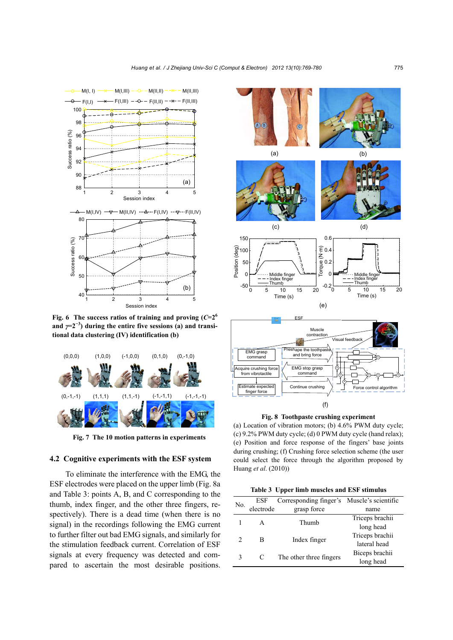

**Fig. 6** The success ratios of training and proving  $(C=2^6)$ and  $\gamma = 2^{-3}$ ) during the entire five sessions (a) and transi**tional data clustering (IV) identification (b)** 



**Fig. 7 The 10 motion patterns in experiments**

## **4.2 Cognitive experiments with the ESF system**

To eliminate the interference with the EMG, the ESF electrodes were placed on the upper limb (Fig. 8a and Table 3: points A, B, and C corresponding to the thumb, index finger, and the other three fingers, respectively). There is a dead time (when there is no signal) in the recordings following the EMG current to further filter out bad EMG signals, and similarly for the stimulation feedback current. Correlation of ESF signals at every frequency was detected and compared to ascertain the most desirable positions.



(f)

**Fig. 8 Toothpaste crushing experiment** 

(a) Location of vibration motors; (b) 4.6% PWM duty cycle; (c) 9.2% PWM duty cycle; (d) 0 PWM duty cycle (hand relax); (e) Position and force response of the fingers' base joints during crushing; (f) Crushing force selection scheme (the user could select the force through the algorithm proposed by Huang *et al*. (2010))

**Table 3 Upper limb muscles and ESF stimulus** 

| No. | ESF       | Corresponding finger's Muscle's scientific |                 |  |  |  |
|-----|-----------|--------------------------------------------|-----------------|--|--|--|
|     | electrode | grasp force                                | name            |  |  |  |
|     |           | Thumb                                      | Triceps brachii |  |  |  |
|     | А         |                                            | long head       |  |  |  |
|     | в         | Index finger                               | Triceps brachii |  |  |  |
|     |           |                                            | lateral head    |  |  |  |
|     | C         |                                            | Biceps brachii  |  |  |  |
|     |           | The other three fingers                    | long head       |  |  |  |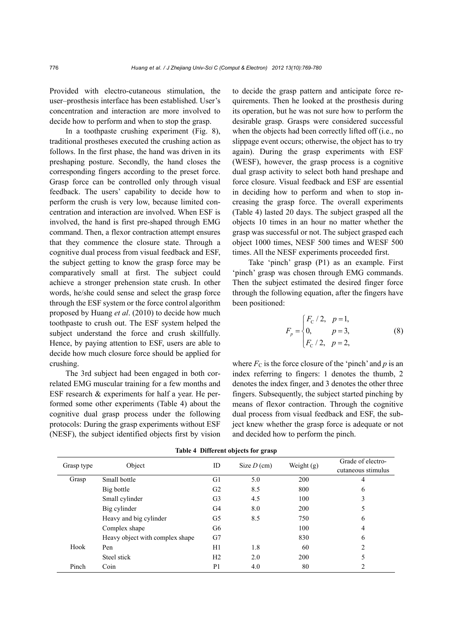Provided with electro-cutaneous stimulation, the user–prosthesis interface has been established. User's concentration and interaction are more involved to decide how to perform and when to stop the grasp.

In a toothpaste crushing experiment (Fig. 8), traditional prostheses executed the crushing action as follows. In the first phase, the hand was driven in its preshaping posture. Secondly, the hand closes the corresponding fingers according to the preset force. Grasp force can be controlled only through visual feedback. The users' capability to decide how to perform the crush is very low, because limited concentration and interaction are involved. When ESF is involved, the hand is first pre-shaped through EMG command. Then, a flexor contraction attempt ensures that they commence the closure state. Through a cognitive dual process from visual feedback and ESF, the subject getting to know the grasp force may be comparatively small at first. The subject could achieve a stronger prehension state crush. In other words, he/she could sense and select the grasp force through the ESF system or the force control algorithm proposed by Huang *et al*. (2010) to decide how much toothpaste to crush out. The ESF system helped the subject understand the force and crush skillfully. Hence, by paying attention to ESF, users are able to decide how much closure force should be applied for crushing.

The 3rd subject had been engaged in both correlated EMG muscular training for a few months and ESF research & experiments for half a year. He performed some other experiments (Table 4) about the cognitive dual grasp process under the following protocols: During the grasp experiments without ESF (NESF), the subject identified objects first by vision

to decide the grasp pattern and anticipate force requirements. Then he looked at the prosthesis during its operation, but he was not sure how to perform the desirable grasp. Grasps were considered successful when the objects had been correctly lifted off (i.e., no slippage event occurs; otherwise, the object has to try again). During the grasp experiments with ESF (WESF), however, the grasp process is a cognitive dual grasp activity to select both hand preshape and force closure. Visual feedback and ESF are essential in deciding how to perform and when to stop increasing the grasp force. The overall experiments (Table 4) lasted 20 days. The subject grasped all the objects 10 times in an hour no matter whether the grasp was successful or not. The subject grasped each object 1000 times, NESF 500 times and WESF 500 times. All the NESF experiments proceeded first.

Take 'pinch' grasp (P1) as an example. First 'pinch' grasp was chosen through EMG commands. Then the subject estimated the desired finger force through the following equation, after the fingers have been positioned:

$$
F_p = \begin{cases} F_C / 2, & p = 1, \\ 0, & p = 3, \\ F_C / 2, & p = 2, \end{cases}
$$
 (8)

where  $F_C$  is the force closure of the 'pinch' and  $p$  is an index referring to fingers: 1 denotes the thumb, 2 denotes the index finger, and 3 denotes the other three fingers. Subsequently, the subject started pinching by means of flexor contraction. Through the cognitive dual process from visual feedback and ESF, the subject knew whether the grasp force is adequate or not and decided how to perform the pinch.

| Grasp type   | Object                          | ID             | Size $D$ (cm) | Weight $(g)$ | Grade of electro-<br>cutaneous stimulus |  |
|--------------|---------------------------------|----------------|---------------|--------------|-----------------------------------------|--|
| Grasp        | Small bottle                    | G1             | 5.0           | 200          | 4                                       |  |
|              | Big bottle                      | G <sub>2</sub> | 8.5           | 800          | 6                                       |  |
|              | Small cylinder                  | G <sub>3</sub> | 4.5           | 100          | 3                                       |  |
| Big cylinder |                                 | G4             | 8.0           | 200          | 5                                       |  |
|              | Heavy and big cylinder          |                | 8.5           | 750          | 6                                       |  |
|              | Complex shape                   | G6             |               | 100          | 4                                       |  |
|              | Heavy object with complex shape | G7             |               | 830          | 6                                       |  |
| Hook         | Pen                             | H1             | 1.8           | 60           | $\overline{2}$                          |  |
|              | Steel stick                     | H <sub>2</sub> | 2.0           | 200          | 5                                       |  |
| Pinch        | Coin                            | P <sub>1</sub> | 4.0           | 80           | 2                                       |  |

**Table 4 Different objects for grasp**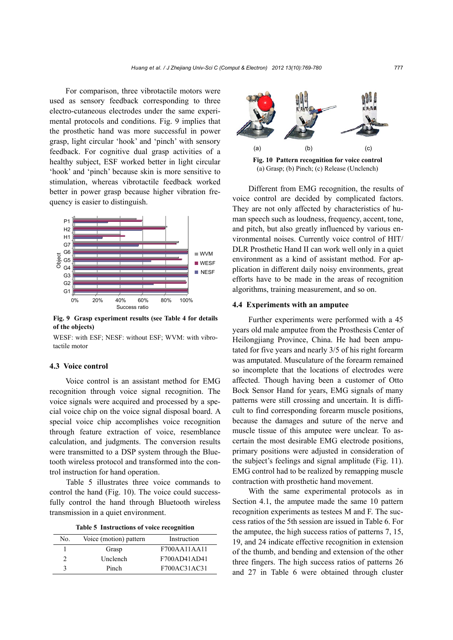For comparison, three vibrotactile motors were used as sensory feedback corresponding to three electro-cutaneous electrodes under the same experimental protocols and conditions. Fig. 9 implies that the prosthetic hand was more successful in power grasp, light circular 'hook' and 'pinch' with sensory feedback. For cognitive dual grasp activities of a healthy subject, ESF worked better in light circular 'hook' and 'pinch' because skin is more sensitive to stimulation, whereas vibrotactile feedback worked better in power grasp because higher vibration frequency is easier to distinguish.



**Fig. 9 Grasp experiment results (see Table 4 for details of the objects)** 

WESF: with ESF; NESF: without ESF; WVM: with vibrotactile motor

## **4.3 Voice control**

Voice control is an assistant method for EMG recognition through voice signal recognition. The voice signals were acquired and processed by a special voice chip on the voice signal disposal board. A special voice chip accomplishes voice recognition through feature extraction of voice, resemblance calculation, and judgments. The conversion results were transmitted to a DSP system through the Bluetooth wireless protocol and transformed into the control instruction for hand operation.

Table 5 illustrates three voice commands to control the hand (Fig. 10). The voice could successfully control the hand through Bluetooth wireless transmission in a quiet environment.

| Table 5 Instructions of voice recognition |  |  |
|-------------------------------------------|--|--|

| No. | Voice (motion) pattern | Instruction  |
|-----|------------------------|--------------|
|     | Grasp                  | F700AA11AA11 |
|     | Unclench               | F700AD41AD41 |
| 2   | Pinch                  | F700AC31AC31 |



(a) Grasp; (b) Pinch; (c) Release (Unclench)

Different from EMG recognition, the results of voice control are decided by complicated factors. They are not only affected by characteristics of human speech such as loudness, frequency, accent, tone, and pitch, but also greatly influenced by various environmental noises. Currently voice control of HIT/ DLR Prosthetic Hand II can work well only in a quiet environment as a kind of assistant method. For application in different daily noisy environments, great efforts have to be made in the areas of recognition algorithms, training measurement, and so on.

#### **4.4 Experiments with an amputee**

Further experiments were performed with a 45 years old male amputee from the Prosthesis Center of Heilongjiang Province, China. He had been amputated for five years and nearly 3/5 of his right forearm was amputated. Musculature of the forearm remained so incomplete that the locations of electrodes were affected. Though having been a customer of Otto Bock Sensor Hand for years, EMG signals of many patterns were still crossing and uncertain. It is difficult to find corresponding forearm muscle positions, because the damages and suture of the nerve and muscle tissue of this amputee were unclear. To ascertain the most desirable EMG electrode positions, primary positions were adjusted in consideration of the subject's feelings and signal amplitude (Fig. 11). EMG control had to be realized by remapping muscle contraction with prosthetic hand movement.

With the same experimental protocols as in Section 4.1, the amputee made the same 10 pattern recognition experiments as testees M and F. The success ratios of the 5th session are issued in Table 6. For the amputee, the high success ratios of patterns 7, 15, 19, and 24 indicate effective recognition in extension of the thumb, and bending and extension of the other three fingers. The high success ratios of patterns 26 and 27 in Table 6 were obtained through cluster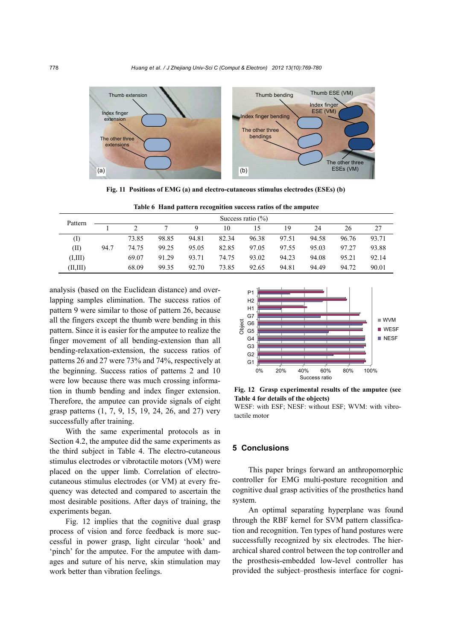

**Fig. 11 Positions of EMG (a) and electro-cutaneous stimulus electrodes (ESEs) (b)** 

|  | Table 6 Hand pattern recognition success ratios of the amputee |  |
|--|----------------------------------------------------------------|--|
|  |                                                                |  |

| Pattern   | Success ratio $(\% )$ |       |       |       |       |       |       |       |       |       |
|-----------|-----------------------|-------|-------|-------|-------|-------|-------|-------|-------|-------|
|           |                       |       | 7     |       | 10    | 15    | 19    | 24    | 26    | 27    |
| (I)       |                       | 73.85 | 98.85 | 94.81 | 82.34 | 96.38 | 97.51 | 94.58 | 96.76 | 93.71 |
| (II)      | 94.7                  | 74.75 | 99.25 | 95.05 | 82.85 | 97.05 | 97.55 | 95.03 | 97.27 | 93.88 |
| (I,III)   |                       | 69.07 | 91.29 | 93.71 | 74.75 | 93.02 | 94.23 | 94.08 | 95.21 | 92.14 |
| (II, III) |                       | 68.09 | 99.35 | 92.70 | 73.85 | 92.65 | 94.81 | 94.49 | 94.72 | 90.01 |

analysis (based on the Euclidean distance) and overlapping samples elimination. The success ratios of pattern 9 were similar to those of pattern 26, because all the fingers except the thumb were bending in this pattern. Since it is easier for the amputee to realize the finger movement of all bending-extension than all bending-relaxation-extension, the success ratios of patterns 26 and 27 were 73% and 74%, respectively at the beginning. Success ratios of patterns 2 and 10 were low because there was much crossing information in thumb bending and index finger extension. Therefore, the amputee can provide signals of eight grasp patterns (1, 7, 9, 15, 19, 24, 26, and 27) very successfully after training.

With the same experimental protocols as in Section 4.2, the amputee did the same experiments as the third subject in Table 4. The electro-cutaneous stimulus electrodes or vibrotactile motors (VM) were placed on the upper limb. Correlation of electrocutaneous stimulus electrodes (or VM) at every frequency was detected and compared to ascertain the most desirable positions. After days of training, the experiments began.

Fig. 12 implies that the cognitive dual grasp process of vision and force feedback is more successful in power grasp, light circular 'hook' and 'pinch' for the amputee. For the amputee with damages and suture of his nerve, skin stimulation may work better than vibration feelings.



**Fig. 12 Grasp experimental results of the amputee (see Table 4 for details of the objects)** 

WESF: with ESF; NESF: without ESF; WVM: with vibrotactile motor

## **5 Conclusions**

This paper brings forward an anthropomorphic controller for EMG multi-posture recognition and cognitive dual grasp activities of the prosthetics hand system.

An optimal separating hyperplane was found through the RBF kernel for SVM pattern classification and recognition. Ten types of hand postures were successfully recognized by six electrodes. The hierarchical shared control between the top controller and the prosthesis-embedded low-level controller has provided the subject–prosthesis interface for cogni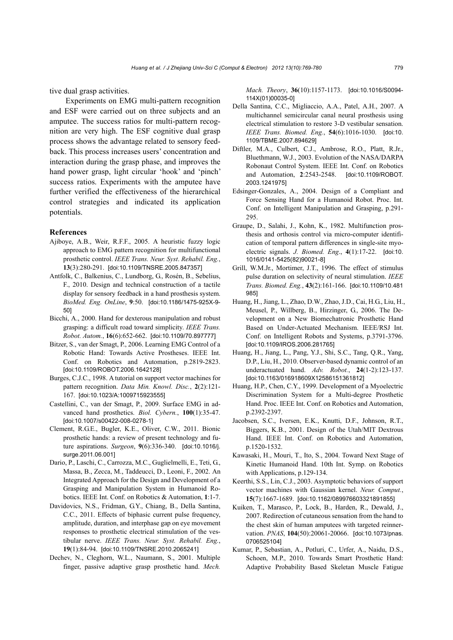tive dual grasp activities.

Experiments on EMG multi-pattern recognition and ESF were carried out on three subjects and an amputee. The success ratios for multi-pattern recognition are very high. The ESF cognitive dual grasp process shows the advantage related to sensory feedback. This process increases users' concentration and interaction during the grasp phase, and improves the hand power grasp, light circular 'hook' and 'pinch' success ratios. Experiments with the amputee have further verified the effectiveness of the hierarchical control strategies and indicated its application potentials.

#### **References**

- Ajiboye, A.B., Weir, R.F.F., 2005. A heuristic fuzzy logic approach to EMG pattern recognition for multifunctional prosthetic control. *IEEE Trans. Neur. Syst*. *Rehabil. Eng.*, **13**(3):280-291. [doi:10.1109/TNSRE.2005.847357]
- Antfolk, C., Balkenius, C., Lundborg, G., Rosén, B., Sebelius, F., 2010. Design and technical construction of a tactile display for sensory feedback in a hand prosthesis system. *BioMed. Eng. OnLine*, **9**:50. [doi:10.1186/1475-925X-9- 50]
- Bicchi, A., 2000. Hand for dexterous manipulation and robust grasping: a difficult road toward simplicity. *IEEE Trans. Robot. Autom.*, **16**(6):652-662. [doi:10.1109/70.897777]
- Bitzer, S., van der Smagt, P., 2006. Learning EMG Control of a Robotic Hand: Towards Active Prostheses. IEEE Int. Conf. on Robotics and Automation, p.2819-2823. [doi:10.1109/ROBOT.2006.1642128]
- Burges, C.J.C., 1998. A tutorial on support vector machines for pattern recognition. *Data Min. Knowl. Disc.*, **2**(2):121- 167. [doi:10.1023/A:1009715923555]
- Castellini, C., van der Smagt, P., 2009. Surface EMG in advanced hand prosthetics. *Biol. Cybern.*, **100**(1):35-47. [doi:10.1007/s00422-008-0278-1]
- Clement, R.G.E., Bugler, K.E., Oliver, C.W., 2011. Bionic prosthetic hands: a review of present technology and future aspirations. *Surgeon*, **9**(6):336-340. [doi:10.1016/j. surge.2011.06.001]
- Dario, P., Laschi, C., Carrozza, M.C., Guglielmelli, E., Teti, G., Massa, B., Zecca, M., Taddeucci, D., Leoni, F., 2002. An Integrated Approach for the Design and Development of a Grasping and Manipulation System in Humanoid Robotics. IEEE Int. Conf. on Robotics & Automation, **1**:1-7.
- Davidovics, N.S., Fridman, G.Y., Chiang, B., Della Santina, C.C., 2011. Effects of biphasic current pulse frequency, amplitude, duration, and interphase gap on eye movement responses to prosthetic electrical stimulation of the vestibular nerve. *IEEE Trans. Neur. Syst. Rehabil. Eng.*, **19**(1):84-94. [doi:10.1109/TNSRE.2010.2065241]
- Dechev, N., Cleghorn, W.L., Naumann, S., 2001. Multiple finger, passive adaptive grasp prosthetic hand. *Mech.*

*Mach. Theory*, **36**(10):1157-1173. [doi:10.1016/S0094- 114X(01)00035-0]

- Della Santina, C.C., Migliaccio, A.A., Patel, A.H., 2007. A multichannel semicircular canal neural prosthesis using electrical stimulation to restore 3-D vestibular sensation. *IEEE Trans. Biomed. Eng.*, **54**(6):1016-1030. [doi:10. 1109/TBME.2007.894629]
- Diftler, M.A., Culbert, C.J., Ambrose, R.O., Platt, R.Jr., Bluethmann, W.J., 2003. Evolution of the NASA/DARPA Robonaut Control System. IEEE Int. Conf. on Robotics and Automation, **2**:2543-2548. [doi:10.1109/ROBOT. 2003.1241975]
- Edsinger-Gonzales, A., 2004. Design of a Compliant and Force Sensing Hand for a Humanoid Robot. Proc. Int. Conf. on Intelligent Manipulation and Grasping, p.291- 295.
- Graupe, D., Salahi, J., Kohn, K., 1982. Multifunction prosthesis and orthosis control via micro-computer identification of temporal pattern differences in single-site myoelectric signals. *J. Biomed. Eng*., **4**(1):17-22. [doi:10. 1016/0141-5425(82)90021-8]
- Grill, W.M.Jr., Mortimer, J.T., 1996. The effect of stimulus pulse duration on selectivity of neural stimulation. *IEEE Trans. Biomed. Eng.*, **43**(2):161-166. [doi:10.1109/10.481 985]
- Huang, H., Jiang, L., Zhao, D.W., Zhao, J.D., Cai, H.G., Liu, H., Meusel, P., Willberg, B., Hirzinger, G., 2006. The Development on a New Biomechatronic Prosthetic Hand Based on Under-Actuated Mechanism. IEEE/RSJ Int. Conf. on Intelligent Robots and Systems, p.3791-3796. [doi:10.1109/IROS.2006.281765]
- Huang, H., Jiang, L., Pang, Y.J., Shi, S.C., Tang, Q.R., Yang, D.P., Liu, H., 2010. Observer-based dynamic control of an underactuated hand. *Adv. Robot.*, **24**(1-2):123-137. [doi:10.1163/016918609X12586151361812]
- Huang, H.P., Chen, C.Y., 1999. Development of a Myoelectric Discrimination System for a Multi-degree Prosthetic Hand. Proc. IEEE Int. Conf. on Robotics and Automation, p.2392-2397.
- Jacobsen, S.C., Iversen, E.K., Knutti, D.F., Johnson, R.T., Biggers, K.B., 2001. Design of the Utah/MIT Dextrous Hand. IEEE Int. Conf. on Robotics and Automation, p.1520-1532.
- Kawasaki, H., Mouri, T., Ito, S., 2004. Toward Next Stage of Kinetic Humanoid Hand. 10th Int. Symp. on Robotics with Applications, p.129-134.
- Keerthi, S.S., Lin, C.J., 2003. Asymptotic behaviors of support vector machines with Gaussian kernel. *Neur. Comput.*, **15**(7):1667-1689. [doi:10.1162/089976603321891855]
- Kuiken, T., Marasco, P., Lock, B., Harden, R., Dewald, J., 2007. Redirection of cutaneous sensation from the hand to the chest skin of human amputees with targeted reinnervation. *PNAS*, **104**(50):20061-20066. [doi:10.1073/pnas. 0706525104]
- Kumar, P., Sebastian, A., Potluri, C., Urfer, A., Naidu, D.S., Schoen, M.P., 2010. Towards Smart Prosthetic Hand: Adaptive Probability Based Skeletan Muscle Fatigue